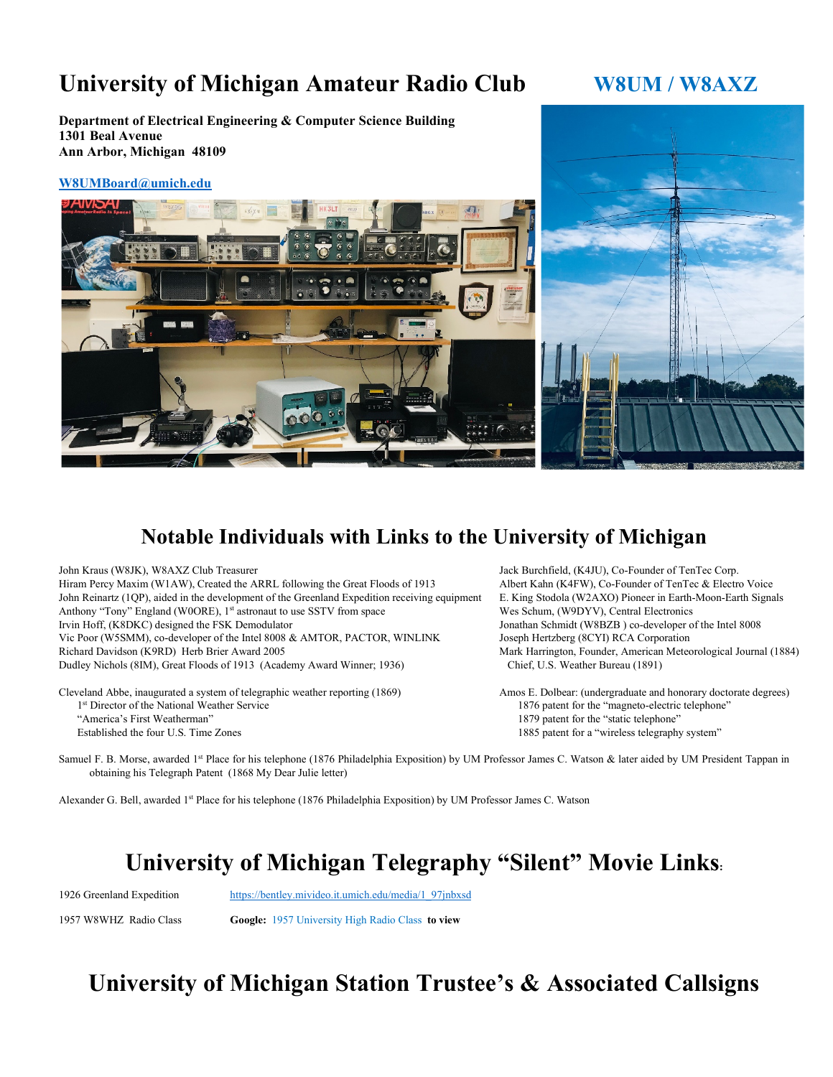## University of Michigan Amateur Radio Club W8UM / W8AXZ

**Department of Electrical Engineering & Computer Science Building 1301 Beal Avenue Ann Arbor, Michigan 48109**

#### **[W8UMBoard@umich.edu](mailto:W8UMBoard@umich.edu)**





#### **Notable Individuals with Links to the University of Michigan**

John Kraus (W8JK), W8AXZ Club Treasurer Jack Burchfield, (K4JU), Co-Founder of TenTec Corp. Hiram Percy Maxim (W1AW), Created the ARRL following the Great Floods of 1913 Albert Kahn (K4FW), Co-Founder of TenTec & Electro Voice John Reinartz (1QP), aided in the development of the Greenland Expedition receiving equipment E. King Stodola (W2AXO) Pioneer in Earth-Moon-Earth Signals Anthony "Tony" England (WOORE), 1<sup>st</sup> astronaut to use SSTV from space Wes Schum, (W9DYV), Central Electronics Irvin Hoff, (K8DKC) designed the FSK Demodulator Jonathan Schmidt (W8BZB ) co-developer of the Intel 8008 Vic Poor (W5SMM), co-developer of the Intel 8008 & AMTOR, PACTOR, WINLINK Joseph Hertzberg (8CYI) RCA Corporation Richard Davidson (K9RD) Herb Brier Award 2005 Mark Harrington, Founder, American Meteorological Journal (1884) Dudley Nichols (8IM), Great Floods of 1913 (Academy Award Winner; 1936) Chief, U.S. Weather Bureau (1891)

Cleveland Abbe, inaugurated a system of telegraphic weather reporting (1869) Amos E. Dolbear: (undergraduate and honorary doctorate degrees) 1st Director of the National Weather Service 1876 patent for the "magneto-electric telephone" "America's First Weatherman" 1879 patent for the "static telephone" Established the four U.S. Time Zones 1885 patent for a "wireless telegraphy system"

Samuel F. B. Morse, awarded 1<sup>st</sup> Place for his telephone (1876 Philadelphia Exposition) by UM Professor James C. Watson & later aided by UM President Tappan in obtaining his Telegraph Patent (1868 My Dear Julie letter)

Alexander G. Bell, awarded 1st Place for his telephone (1876 Philadelphia Exposition) by UM Professor James C. Watson

## **University of Michigan Telegraphy "Silent" Movie Links:**

1926 Greenland Expedition [https://bentley.mivideo.it.umich.edu/media/1\\_97jnbxsd](https://bentley.mivideo.it.umich.edu/media/1_97jnbxsd)

1957 W8WHZ Radio Class **Google:** 1957 University High Radio Class **to view**

# **University of Michigan Station Trustee's & Associated Callsigns**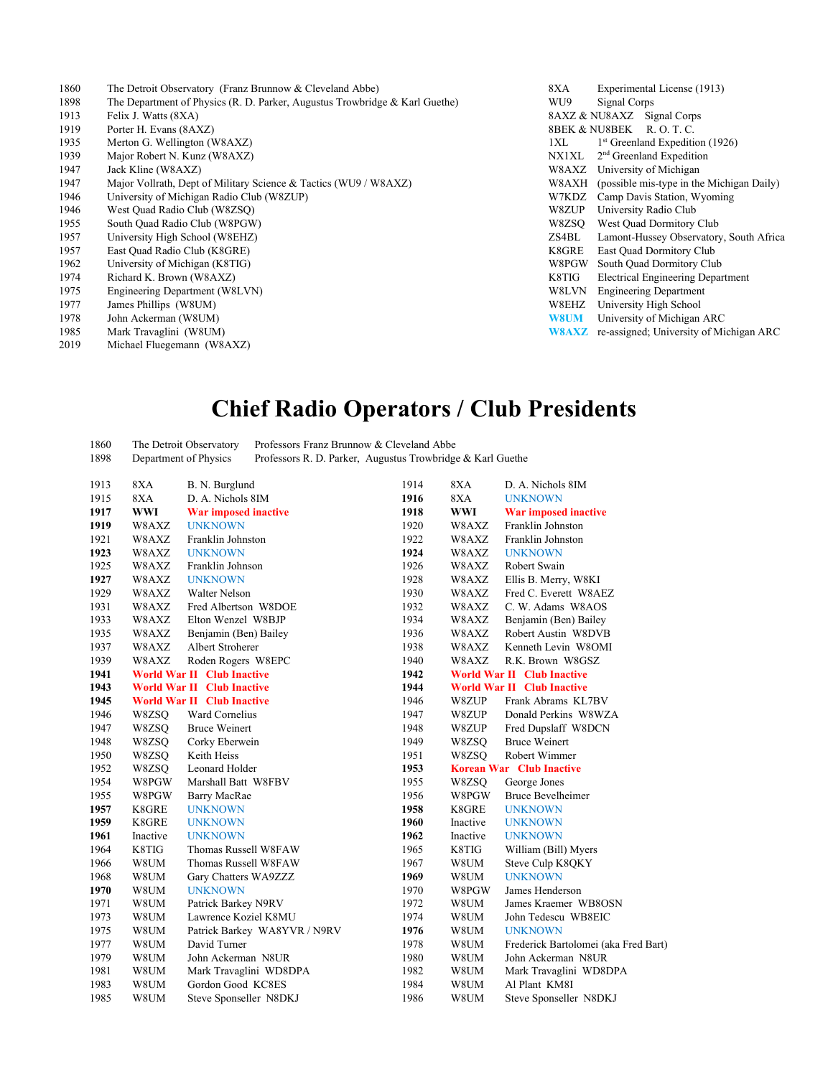- The Detroit Observatory (Franz Brunnow & Cleveland Abbe) 8XA Experimental License (1913)
- The Department of Physics (R. D. Parker, Augustus Trowbridge & Karl Guethe) WU9 Signal Corps
- 
- 
- 
- 
- 
- 
- 
- South Quad Radio Club (W8PGW)
- 
- 
- 
- 
- 
- 
- 
- 
- Michael Fluegemann (W8AXZ)
- 1913 Felix J. Watts (8XA) **8AXZ & NU8AXZ** Signal Corps 1919 Porter H. Evans (8AXZ) **8BEK & NU8BEK R. O. T. C.** 1935 Merton G. Wellington (W8AXZ) 131 and 131 and 131 and 132 and 132 and 133 and 134 and 135 and 135 and 135 and 135 and 135 and 135 and 135 and 135 and 135 and 135 and 135 and 135 and 135 and 135 and 135 and 136 and 136 1939 Major Robert N. Kunz (W8AXZ) NX1XL 2<sup>nd</sup> Greenland Expedition Jack Kline (W8AXZ) W8AXZ University of Michigan 1947 Major Vollrath, Dept of Military Science & Tactics (WU9 / W8AXZ) W8AXL (possible mis-type in the Michigan Daily) University of Michigan Radio Club (W8ZUP) W7KDZ Camp Davis Station, Wyoming West Quad Radio Club (W8ZSQ) W8ZUP University Radio Club University High School (W8EHZ) ZS4BL Lamont-Hussey Observatory, South Africa East Quad Radio Club (K8GRE) K8GRE East Quad Dormitory Club 1962 University of Michigan (K8TIG)<br>1974 Richard K. Brown (W8AXZ) National Research of Michael States of Michael States (Michael States of Michael States of Michael States of Michael States of Michael States (Michael State 1974 Richard K. Brown (W8AXZ)<br>1975 Engineering Department (W8LVN) Superventility of the Case of the Case of the Case of the Case of the Case of the Case of the Case of the Case of the Case of the Case of the Case of the Ca Engineering Department (W8LVN) and the USD of the USD of the USD of the USD of the USD of the USD of the USD of the USD of the USD of the USD of the USD of the USD of the USD of the USD of the USD of the USD of the USD of James Phillips (W8UM) W8EHZ University High School John Ackerman (W8UM) **W8UM** University of Michigan ARC 1985 Mark Travaglini (W8UM)<br>
2019 Michael Fluegemann (W8AXZ)

## **Chief Radio Operators / Club Presidents**

 The Detroit Observatory Professors Franz Brunnow & Cleveland Abbe Department of Physics Professors R. D. Parker, Augustus Trowbridge & Karl Guethe

| 1913 | 8XA        | B. N. Burglund                    | 1914 | 8XA      | D. A. Nichols 8IM                    |
|------|------------|-----------------------------------|------|----------|--------------------------------------|
| 1915 | 8XA        | D. A. Nichols 8IM                 | 1916 | 8XA      | <b>UNKNOWN</b>                       |
| 1917 | <b>WWI</b> | War imposed inactive              | 1918 | WWI      | War imposed inactive                 |
| 1919 | W8AXZ      | <b>UNKNOWN</b>                    | 1920 | W8AXZ    | Franklin Johnston                    |
| 1921 | W8AXZ      | Franklin Johnston                 | 1922 | W8AXZ    | Franklin Johnston                    |
| 1923 | W8AXZ      | <b>UNKNOWN</b>                    | 1924 | W8AXZ    | <b>UNKNOWN</b>                       |
| 1925 | W8AXZ      | Franklin Johnson                  | 1926 | W8AXZ    | Robert Swain                         |
| 1927 | W8AXZ      | <b>UNKNOWN</b>                    | 1928 | W8AXZ    | Ellis B. Merry, W8KI                 |
| 1929 | W8AXZ      | Walter Nelson                     | 1930 | W8AXZ    | Fred C. Everett W8AEZ                |
| 1931 | W8AXZ      | Fred Albertson W8DOE              | 1932 | W8AXZ    | C. W. Adams W8AOS                    |
| 1933 | W8AXZ      | Elton Wenzel W8BJP                | 1934 | W8AXZ    | Benjamin (Ben) Bailey                |
| 1935 | W8AXZ      | Benjamin (Ben) Bailey             | 1936 | W8AXZ    | Robert Austin W8DVB                  |
| 1937 | W8AXZ      | Albert Stroherer                  | 1938 | W8AXZ    | Kenneth Levin W8OMI                  |
| 1939 | W8AXZ      | Roden Rogers W8EPC                | 1940 | W8AXZ    | R.K. Brown W8GSZ                     |
| 1941 |            | <b>World War II Club Inactive</b> | 1942 |          | <b>World War II Club Inactive</b>    |
| 1943 |            | <b>World War II Club Inactive</b> | 1944 |          | <b>World War II Club Inactive</b>    |
| 1945 |            | <b>World War II Club Inactive</b> | 1946 | W8ZUP    | Frank Abrams KL7BV                   |
| 1946 | W8ZSQ      | Ward Cornelius                    | 1947 | W8ZUP    | Donald Perkins W8WZA                 |
| 1947 | W8ZSQ      | <b>Bruce Weinert</b>              | 1948 | W8ZUP    | Fred Dupslaff W8DCN                  |
| 1948 | W8ZSO      | Corky Eberwein                    | 1949 | W8ZSO    | <b>Bruce Weinert</b>                 |
| 1950 | W8ZSQ      | Keith Heiss                       | 1951 | W8ZSO    | Robert Wimmer                        |
| 1952 | W8ZSO      | Leonard Holder                    | 1953 |          | <b>Korean War Club Inactive</b>      |
| 1954 | W8PGW      | Marshall Batt W8FBV               | 1955 | W8ZSQ    | George Jones                         |
| 1955 | W8PGW      | Barry MacRae                      | 1956 | W8PGW    | <b>Bruce Bevelheimer</b>             |
| 1957 | K8GRE      | <b>UNKNOWN</b>                    | 1958 | K8GRE    | <b>UNKNOWN</b>                       |
| 1959 | K8GRE      | <b>UNKNOWN</b>                    | 1960 | Inactive | <b>UNKNOWN</b>                       |
| 1961 | Inactive   | <b>UNKNOWN</b>                    | 1962 | Inactive | <b>UNKNOWN</b>                       |
| 1964 | K8TIG      | Thomas Russell W8FAW              | 1965 | K8TIG    | William (Bill) Myers                 |
| 1966 | W8UM       | Thomas Russell W8FAW              | 1967 | W8UM     | Steve Culp K8QKY                     |
| 1968 | W8UM       | Gary Chatters WA9ZZZ              | 1969 | W8UM     | <b>UNKNOWN</b>                       |
| 1970 | W8UM       | <b>UNKNOWN</b>                    | 1970 | W8PGW    | James Henderson                      |
| 1971 | W8UM       | Patrick Barkey N9RV               | 1972 | W8UM     | James Kraemer WB8OSN                 |
| 1973 | W8UM       | Lawrence Koziel K8MU              | 1974 | W8UM     | John Tedescu WB8EIC                  |
| 1975 | W8UM       | Patrick Barkey WA8YVR / N9RV      | 1976 | W8UM     | <b>UNKNOWN</b>                       |
| 1977 | W8UM       | David Turner                      | 1978 | W8UM     | Frederick Bartolomei (aka Fred Bart) |
| 1979 | W8UM       | John Ackerman N8UR                | 1980 | W8UM     | John Ackerman N8UR                   |
| 1981 | W8UM       | Mark Travaglini WD8DPA            | 1982 | W8UM     | Mark Travaglini WD8DPA               |
| 1983 | W8UM       | Gordon Good KC8ES                 | 1984 | W8UM     | Al Plant KM8I                        |
| 1985 | W8UM       | Steve Sponseller N8DKJ            | 1986 | W8UM     | Steve Sponseller N8DKJ               |